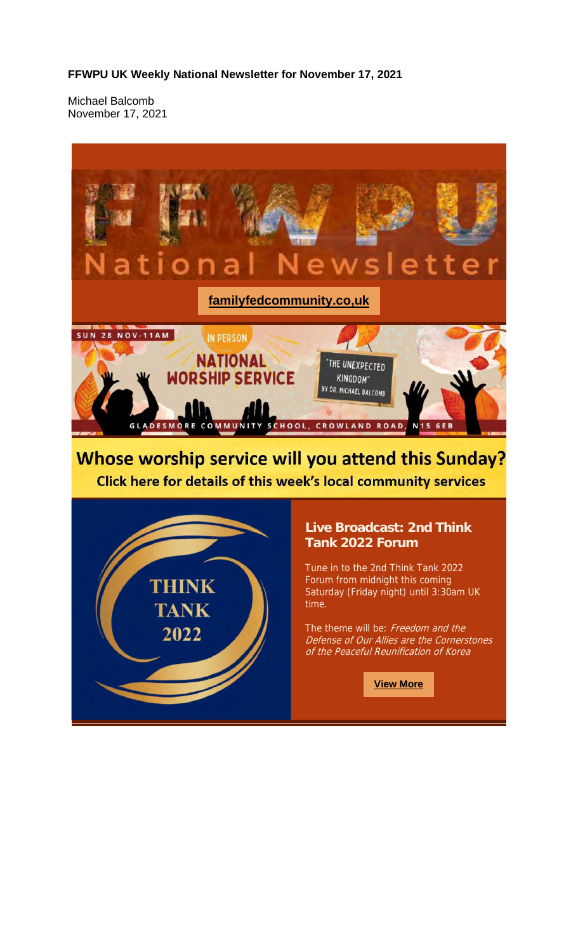#### **FFWPU UK Weekly National Newsletter for November 17, 2021**

Michael Balcomb November 17, 2021



**View More**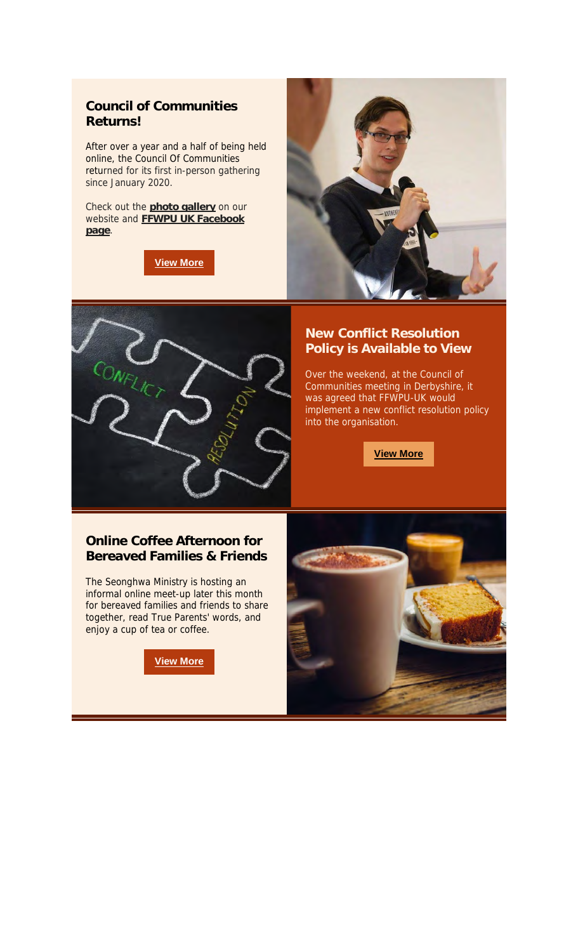## **Council of Communities Returns!**

After over a year and a half of being held online, the Council Of Communities returned for its first in-person gathering since January 2020.

Check out the **photo gallery** on our website and **FFWPU UK Facebook page**.

**View More**





### **New Conflict Resolution Policy is Available to View**

Over the weekend, at the Council of Communities meeting in Derbyshire, it was agreed that FFWPU-UK would implement a new conflict resolution policy into the organisation.

**View More**

# **Online Coffee Afternoon for Bereaved Families & Friends**

The Seonghwa Ministry is hosting an informal online meet-up later this month for bereaved families and friends to share together, read True Parents' words, and enjoy a cup of tea or coffee.

**View More**

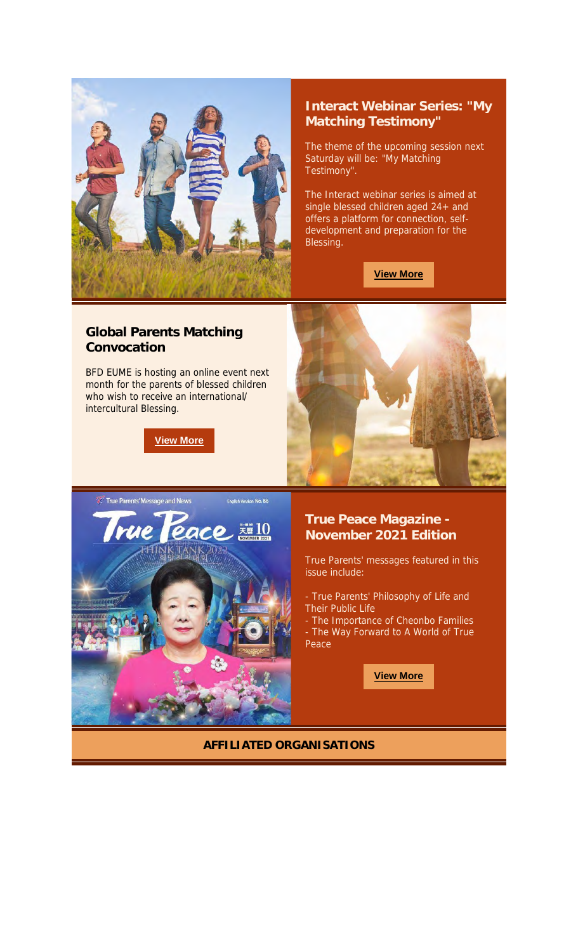

### **Interact Webinar Series: "My Matching Testimony"**

The theme of the upcoming session next Saturday will be: "My Matching Testimony".

The Interact webinar series is aimed at single blessed children aged 24+ and offers a platform for connection, selfdevelopment and preparation for the Blessing.

**View More**

### **Global Parents Matching Convocation**

BFD EUME is hosting an online event next month for the parents of blessed children who wish to receive an international/ intercultural Blessing.

**View More**





# **True Peace Magazine - November 2021 Edition**

True Parents' messages featured in this issue include:

- True Parents' Philosophy of Life and Their Public Life
- The Importance of Cheonbo Families - The Way Forward to A World of True Peace

**View More**

#### **AFFILIATED ORGANISATIONS**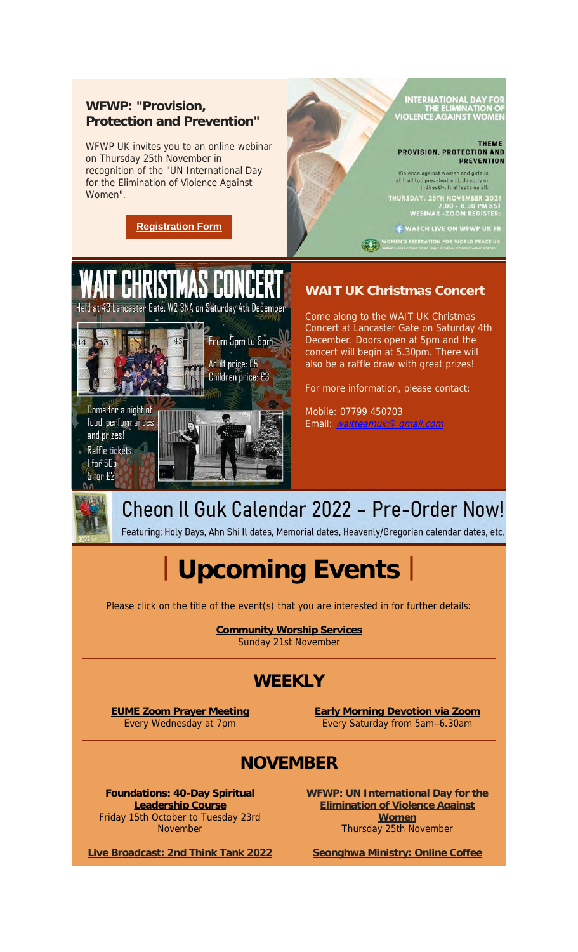